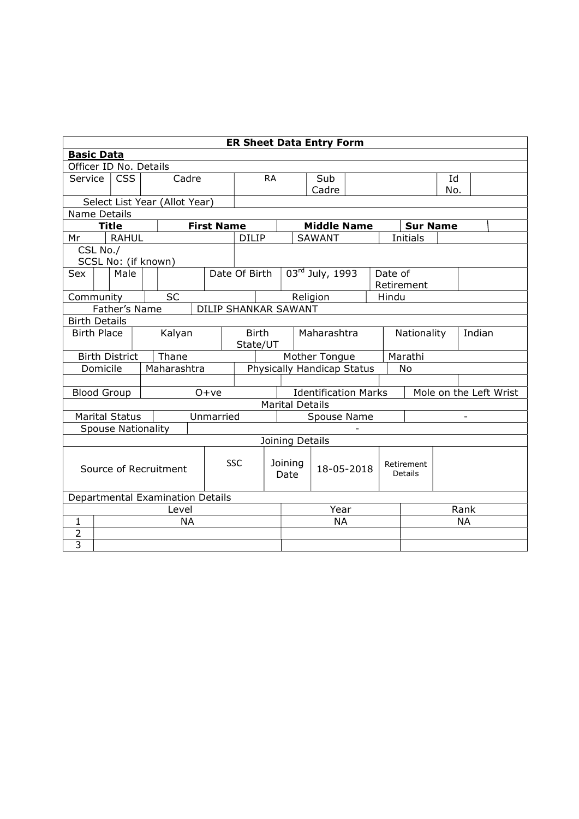| <b>ER Sheet Data Entry Form</b>       |                               |                              |  |                                  |                   |             |                                                                                 |           |             |                 |                                     |        |         |                                    |     |    |  |
|---------------------------------------|-------------------------------|------------------------------|--|----------------------------------|-------------------|-------------|---------------------------------------------------------------------------------|-----------|-------------|-----------------|-------------------------------------|--------|---------|------------------------------------|-----|----|--|
| <b>Basic Data</b>                     |                               |                              |  |                                  |                   |             |                                                                                 |           |             |                 |                                     |        |         |                                    |     |    |  |
| Officer ID No. Details                |                               |                              |  |                                  |                   |             |                                                                                 |           |             |                 |                                     |        |         |                                    |     |    |  |
| Service                               |                               | <b>CSS</b>                   |  | Cadre                            |                   |             |                                                                                 | <b>RA</b> |             |                 | Sub                                 |        |         |                                    | Id  |    |  |
|                                       |                               |                              |  |                                  |                   |             |                                                                                 |           |             |                 | Cadre                               |        |         |                                    | No. |    |  |
|                                       | Select List Year (Allot Year) |                              |  |                                  |                   |             |                                                                                 |           |             |                 |                                     |        |         |                                    |     |    |  |
| Name Details                          |                               |                              |  |                                  |                   |             |                                                                                 |           |             |                 |                                     |        |         |                                    |     |    |  |
| Mr                                    |                               | <b>Title</b><br><b>RAHUL</b> |  |                                  | <b>First Name</b> |             | <b>DILIP</b>                                                                    |           |             |                 | <b>Middle Name</b><br><b>SAWANT</b> |        |         | <b>Sur Name</b><br><b>Initials</b> |     |    |  |
|                                       | CSL No./                      |                              |  |                                  |                   |             |                                                                                 |           |             |                 |                                     |        |         |                                    |     |    |  |
|                                       |                               | SCSL No: (if known)          |  |                                  |                   |             |                                                                                 |           |             |                 |                                     |        |         |                                    |     |    |  |
| Sex                                   |                               | Male                         |  |                                  |                   |             | Date Of Birth                                                                   |           |             |                 | 03rd July, 1993                     |        | Date of |                                    |     |    |  |
|                                       |                               |                              |  |                                  |                   |             |                                                                                 |           |             |                 |                                     |        |         | Retirement                         |     |    |  |
| Community                             |                               |                              |  | <b>SC</b>                        |                   |             |                                                                                 |           |             | Religion        |                                     |        | Hindu   |                                    |     |    |  |
| Father's Name<br>DILIP SHANKAR SAWANT |                               |                              |  |                                  |                   |             |                                                                                 |           |             |                 |                                     |        |         |                                    |     |    |  |
| <b>Birth Details</b>                  |                               |                              |  |                                  |                   |             |                                                                                 |           |             |                 |                                     |        |         |                                    |     |    |  |
| <b>Birth Place</b><br>Kalyan          |                               |                              |  | <b>Birth</b>                     |                   | Maharashtra |                                                                                 |           |             | Nationality     |                                     | Indian |         |                                    |     |    |  |
|                                       |                               |                              |  |                                  |                   |             | State/UT                                                                        |           |             |                 |                                     |        |         |                                    |     |    |  |
|                                       |                               | <b>Birth District</b>        |  | Thane                            |                   |             | Marathi<br>Mother Tongue                                                        |           |             |                 |                                     |        |         |                                    |     |    |  |
|                                       | Domicile                      |                              |  | Maharashtra                      |                   |             | Physically Handicap Status<br>No                                                |           |             |                 |                                     |        |         |                                    |     |    |  |
|                                       |                               |                              |  |                                  |                   |             |                                                                                 |           |             |                 |                                     |        |         |                                    |     |    |  |
|                                       |                               | <b>Blood Group</b>           |  |                                  | $O+ve$            |             | <b>Identification Marks</b><br>Mole on the Left Wrist<br><b>Marital Details</b> |           |             |                 |                                     |        |         |                                    |     |    |  |
|                                       |                               | <b>Marital Status</b>        |  |                                  | Unmarried         |             |                                                                                 |           | Spouse Name |                 |                                     |        |         |                                    |     |    |  |
|                                       |                               | <b>Spouse Nationality</b>    |  |                                  |                   |             |                                                                                 |           |             |                 |                                     |        |         |                                    |     |    |  |
|                                       |                               |                              |  |                                  |                   |             |                                                                                 |           |             | Joining Details |                                     |        |         |                                    |     |    |  |
|                                       |                               |                              |  |                                  |                   |             |                                                                                 |           |             |                 |                                     |        |         |                                    |     |    |  |
|                                       |                               |                              |  |                                  |                   |             | <b>SSC</b>                                                                      |           | Joining     |                 | 18-05-2018                          |        |         | Retirement                         |     |    |  |
| Source of Recruitment                 |                               |                              |  |                                  |                   |             |                                                                                 | Date      |             |                 |                                     |        | Details |                                    |     |    |  |
|                                       |                               |                              |  |                                  |                   |             |                                                                                 |           |             |                 |                                     |        |         |                                    |     |    |  |
|                                       |                               |                              |  | Departmental Examination Details |                   |             |                                                                                 |           |             |                 |                                     |        |         |                                    |     |    |  |
|                                       |                               |                              |  | Level                            |                   |             |                                                                                 |           | Year        |                 |                                     |        |         | Rank                               |     |    |  |
| $\mathbf{1}$                          |                               |                              |  | <b>NA</b>                        |                   |             |                                                                                 |           |             |                 | <b>NA</b>                           |        |         |                                    |     | NA |  |
| $\overline{2}$<br>$\overline{3}$      |                               |                              |  |                                  |                   |             |                                                                                 |           |             |                 |                                     |        |         |                                    |     |    |  |
|                                       |                               |                              |  |                                  |                   |             |                                                                                 |           |             |                 |                                     |        |         |                                    |     |    |  |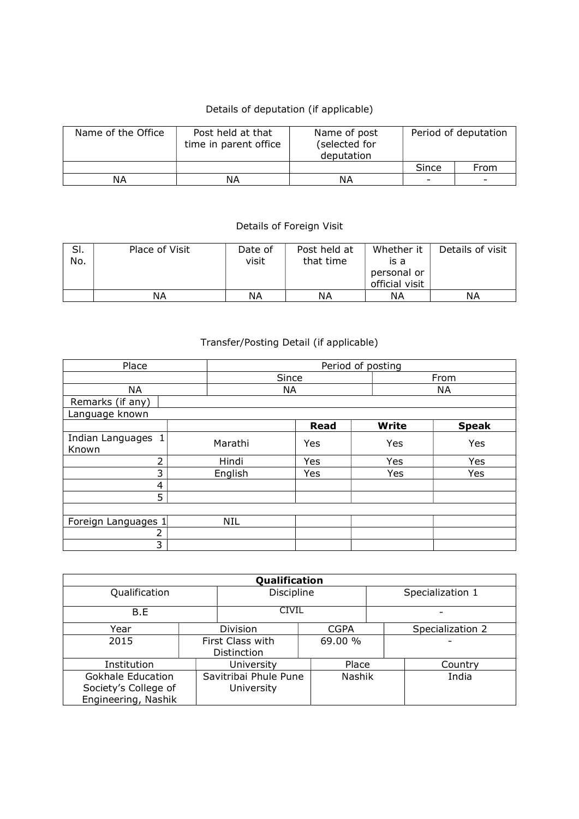## Details of deputation (if applicable)

| Name of the Office | Post held at that<br>time in parent office | Name of post<br>(selected for<br>deputation | Period of deputation     |                          |  |  |
|--------------------|--------------------------------------------|---------------------------------------------|--------------------------|--------------------------|--|--|
|                    |                                            |                                             | Since                    | From                     |  |  |
| ΝA                 | ΝA                                         | ΝA                                          | $\overline{\phantom{0}}$ | $\overline{\phantom{0}}$ |  |  |

## Details of Foreign Visit

| SI.<br>No. | Place of Visit | Date of<br>visit | Post held at<br>that time | Whether it<br>is a<br>personal or<br>official visit | Details of visit |
|------------|----------------|------------------|---------------------------|-----------------------------------------------------|------------------|
|            | ΝA             | ΝA               | ΝA                        | ΝA                                                  | ΝA               |

## Transfer/Posting Detail (if applicable)

| Place                       |         | Period of posting |       |      |           |              |  |              |  |
|-----------------------------|---------|-------------------|-------|------|-----------|--------------|--|--------------|--|
|                             |         |                   | Since |      |           | From         |  |              |  |
| <b>NA</b>                   |         | NA                |       |      | <b>NA</b> |              |  |              |  |
| Remarks (if any)            |         |                   |       |      |           |              |  |              |  |
| Language known              |         |                   |       |      |           |              |  |              |  |
|                             |         |                   |       | Read |           | <b>Write</b> |  | <b>Speak</b> |  |
| Indian Languages 1<br>Known | Marathi |                   |       | Yes  |           | Yes          |  | Yes          |  |
| 2                           |         | Hindi             |       | Yes  |           | Yes          |  | Yes          |  |
| 3                           |         | English           |       | Yes  |           | Yes          |  | Yes          |  |
| 4                           |         |                   |       |      |           |              |  |              |  |
| 5                           |         |                   |       |      |           |              |  |              |  |
|                             |         |                   |       |      |           |              |  |              |  |
| Foreign Languages 1         |         | NIL               |       |      |           |              |  |              |  |
| 2                           |         |                   |       |      |           |              |  |              |  |
| 3                           |         |                   |       |      |           |              |  |              |  |

| Qualification        |  |                       |             |                  |                  |  |  |  |  |  |
|----------------------|--|-----------------------|-------------|------------------|------------------|--|--|--|--|--|
| Qualification        |  | Discipline            |             | Specialization 1 |                  |  |  |  |  |  |
| B.E                  |  | <b>CIVIL</b>          |             |                  |                  |  |  |  |  |  |
| Year                 |  | Division              | <b>CGPA</b> |                  | Specialization 2 |  |  |  |  |  |
| 2015                 |  | First Class with      | 69.00 %     |                  |                  |  |  |  |  |  |
|                      |  | Distinction           |             |                  |                  |  |  |  |  |  |
| Institution          |  | University            | Place       |                  | Country          |  |  |  |  |  |
| Gokhale Education    |  | Savitribai Phule Pune | Nashik      |                  | India            |  |  |  |  |  |
| Society's College of |  | University            |             |                  |                  |  |  |  |  |  |
| Engineering, Nashik  |  |                       |             |                  |                  |  |  |  |  |  |